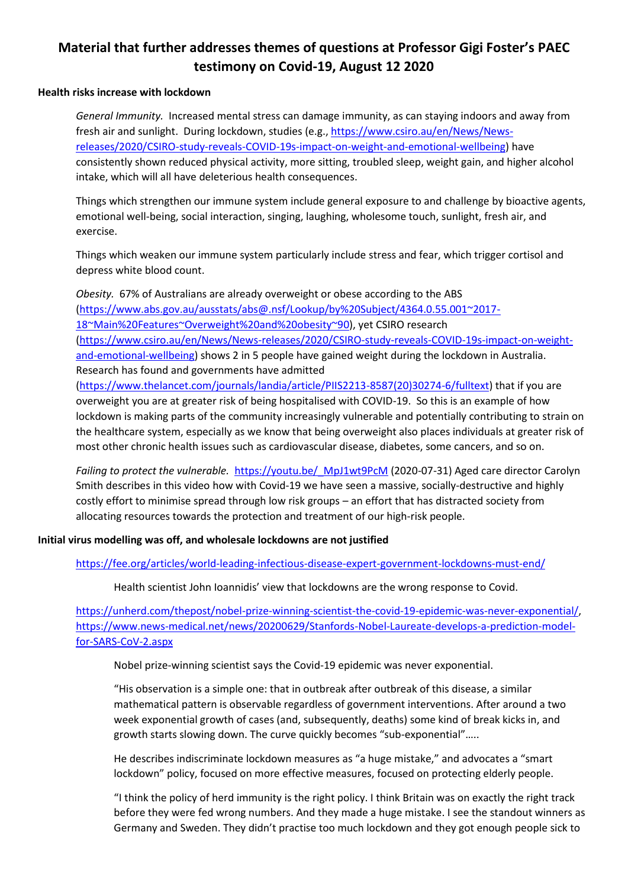# **Material that further addresses themes of questions at Professor Gigi Foster's PAEC testimony on Covid-19, August 12 2020**

#### **Health risks increase with lockdown**

*General Immunity.* Increased mental stress can damage immunity, as can staying indoors and away from fresh air and sunlight. During lockdown, studies (e.g., [https://www.csiro.au/en/News/News](https://www.csiro.au/en/News/News-releases/2020/CSIRO-study-reveals-COVID-19s-impact-on-weight-and-emotional-wellbeing)[releases/2020/CSIRO-study-reveals-COVID-19s-impact-on-weight-and-emotional-wellbeing\)](https://www.csiro.au/en/News/News-releases/2020/CSIRO-study-reveals-COVID-19s-impact-on-weight-and-emotional-wellbeing) have consistently shown reduced physical activity, more sitting, troubled sleep, weight gain, and higher alcohol intake, which will all have deleterious health consequences.

Things which strengthen our immune system include general exposure to and challenge by bioactive agents, emotional well-being, social interaction, singing, laughing, wholesome touch, sunlight, fresh air, and exercise.

Things which weaken our immune system particularly include stress and fear, which trigger cortisol and depress white blood count.

*Obesity.* 67% of Australians are already overweight or obese according to the ABS [\(https://www.abs.gov.au/ausstats/abs@.nsf/Lookup/by%20Subject/4364.0.55.001~2017-](https://www.abs.gov.au/ausstats/abs@.nsf/Lookup/by%20Subject/4364.0.55.001~2017-18~Main%20Features~Overweight%20and%20obesity~90) [18~Main%20Features~Overweight%20and%20obesity~90\)](https://www.abs.gov.au/ausstats/abs@.nsf/Lookup/by%20Subject/4364.0.55.001~2017-18~Main%20Features~Overweight%20and%20obesity~90), yet CSIRO research [\(https://www.csiro.au/en/News/News-releases/2020/CSIRO-study-reveals-COVID-19s-impact-on-weight](https://www.csiro.au/en/News/News-releases/2020/CSIRO-study-reveals-COVID-19s-impact-on-weight-and-emotional-wellbeing)[and-emotional-wellbeing\)](https://www.csiro.au/en/News/News-releases/2020/CSIRO-study-reveals-COVID-19s-impact-on-weight-and-emotional-wellbeing) shows 2 in 5 people have gained weight during the lockdown in Australia. Research has found and governments have admitted

[\(https://www.thelancet.com/journals/landia/article/PIIS2213-8587\(20\)30274-6/fulltext\)](https://www.thelancet.com/journals/landia/article/PIIS2213-8587(20)30274-6/fulltext) that if you are overweight you are at greater risk of being hospitalised with COVID-19. So this is an example of how lockdown is making parts of the community increasingly vulnerable and potentially contributing to strain on the healthcare system, especially as we know that being overweight also places individuals at greater risk of most other chronic health issues such as cardiovascular disease, diabetes, some cancers, and so on.

*Failing to protect the vulnerable.* [https://youtu.be/\\_MpJ1wt9PcM](https://youtu.be/_MpJ1wt9PcM) (2020-07-31) Aged care director Carolyn Smith describes in this video how with Covid-19 we have seen a massive, socially-destructive and highly costly effort to minimise spread through low risk groups – an effort that has distracted society from allocating resources towards the protection and treatment of our high-risk people.

**Initial virus modelling was off, and wholesale lockdowns are not justified**

<https://fee.org/articles/world-leading-infectious-disease-expert-government-lockdowns-must-end/>

Health scientist John Ioannidis' view that lockdowns are the wrong response to Covid.

[https://unherd.com/thepost/nobel-prize-winning-scientist-the-covid-19-epidemic-was-never-exponential/,](https://unherd.com/thepost/nobel-prize-winning-scientist-the-covid-19-epidemic-was-never-exponential/) [https://www.news-medical.net/news/20200629/Stanfords-Nobel-Laureate-develops-a-prediction-model](https://www.news-medical.net/news/20200629/Stanfords-Nobel-Laureate-develops-a-prediction-model-for-SARS-CoV-2.aspx)[for-SARS-CoV-2.aspx](https://www.news-medical.net/news/20200629/Stanfords-Nobel-Laureate-develops-a-prediction-model-for-SARS-CoV-2.aspx)

Nobel prize-winning scientist says the Covid-19 epidemic was never exponential.

"His observation is a simple one: that in outbreak after outbreak of this disease, a similar mathematical pattern is observable regardless of government interventions. After around a two week exponential growth of cases (and, subsequently, deaths) some kind of break kicks in, and growth starts slowing down. The curve quickly becomes "sub-exponential"…..

He describes indiscriminate lockdown measures as "a huge mistake," and advocates a "smart lockdown" policy, focused on more effective measures, focused on protecting elderly people.

"I think the policy of herd immunity is the right policy. I think Britain was on exactly the right track before they were fed wrong numbers. And they made a huge mistake. I see the standout winners as Germany and Sweden. They didn't practise too much lockdown and they got enough people sick to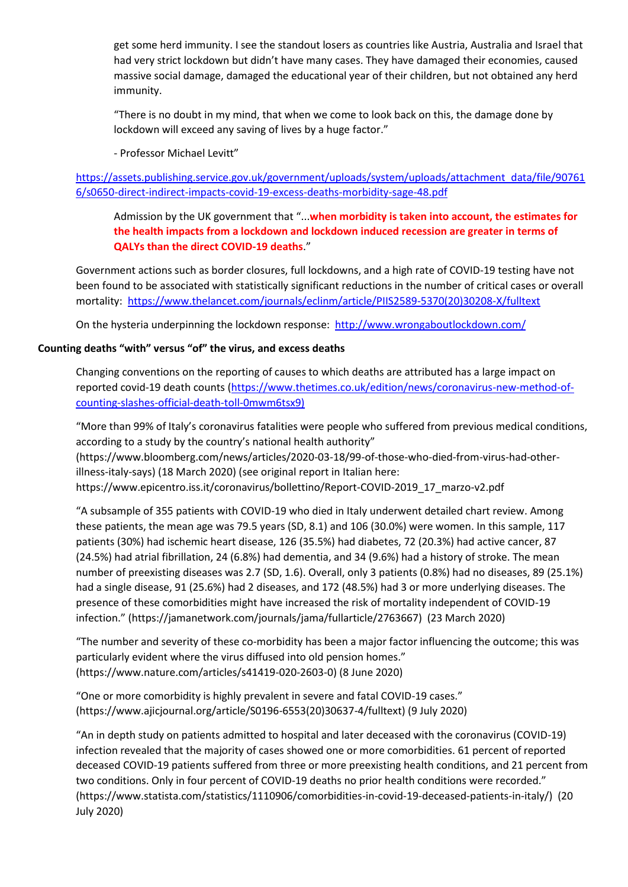get some herd immunity. I see the standout losers as countries like Austria, Australia and Israel that had very strict lockdown but didn't have many cases. They have damaged their economies, caused massive social damage, damaged the educational year of their children, but not obtained any herd immunity.

"There is no doubt in my mind, that when we come to look back on this, the damage done by lockdown will exceed any saving of lives by a huge factor."

- Professor Michael Levitt"

[https://assets.publishing.service.gov.uk/government/uploads/system/uploads/attachment\\_data/file/90761](https://assets.publishing.service.gov.uk/government/uploads/system/uploads/attachment_data/file/907616/s0650-direct-indirect-impacts-covid-19-excess-deaths-morbidity-sage-48.pdf) [6/s0650-direct-indirect-impacts-covid-19-excess-deaths-morbidity-sage-48.pdf](https://assets.publishing.service.gov.uk/government/uploads/system/uploads/attachment_data/file/907616/s0650-direct-indirect-impacts-covid-19-excess-deaths-morbidity-sage-48.pdf)

Admission by the UK government that "...**when morbidity is taken into account, the estimates for the health impacts from a lockdown and lockdown induced recession are greater in terms of QALYs than the direct COVID-19 deaths**."

Government actions such as border closures, full lockdowns, and a high rate of COVID-19 testing have not been found to be associated with statistically significant reductions in the number of critical cases or overall mortality: [https://www.thelancet.com/journals/eclinm/article/PIIS2589-5370\(20\)30208-X/fulltext](https://www.thelancet.com/journals/eclinm/article/PIIS2589-5370(20)30208-X/fulltext)

On the hysteria underpinning the lockdown response:<http://www.wrongaboutlockdown.com/>

## **Counting deaths "with" versus "of" the virus, and excess deaths**

Changing conventions on the reporting of causes to which deaths are attributed has a large impact on reported covid-19 death counts [\(https://www.thetimes.co.uk/edition/news/coronavirus-new-method-of](https://www.thetimes.co.uk/edition/news/coronavirus-new-method-of-counting-slashes-official-death-toll-0mwm6tsx9)[counting-slashes-official-death-toll-0mwm6tsx9\)](https://www.thetimes.co.uk/edition/news/coronavirus-new-method-of-counting-slashes-official-death-toll-0mwm6tsx9)

"More than 99% of Italy's coronavirus fatalities were people who suffered from previous medical conditions, according to a study by the country's national health authority"

(https://www.bloomberg.com/news/articles/2020-03-18/99-of-those-who-died-from-virus-had-otherillness-italy-says) (18 March 2020) (see original report in Italian here: https://www.epicentro.iss.it/coronavirus/bollettino/Report-COVID-2019\_17\_marzo-v2.pdf

"A subsample of 355 patients with COVID-19 who died in Italy underwent detailed chart review. Among these patients, the mean age was 79.5 years (SD, 8.1) and 106 (30.0%) were women. In this sample, 117 patients (30%) had ischemic heart disease, 126 (35.5%) had diabetes, 72 (20.3%) had active cancer, 87 (24.5%) had atrial fibrillation, 24 (6.8%) had dementia, and 34 (9.6%) had a history of stroke. The mean number of preexisting diseases was 2.7 (SD, 1.6). Overall, only 3 patients (0.8%) had no diseases, 89 (25.1%) had a single disease, 91 (25.6%) had 2 diseases, and 172 (48.5%) had 3 or more underlying diseases. The presence of these comorbidities might have increased the risk of mortality independent of COVID-19 infection." (https://jamanetwork.com/journals/jama/fullarticle/2763667) (23 March 2020)

"The number and severity of these co-morbidity has been a major factor influencing the outcome; this was particularly evident where the virus diffused into old pension homes." (https://www.nature.com/articles/s41419-020-2603-0) (8 June 2020)

"One or more comorbidity is highly prevalent in severe and fatal COVID-19 cases." (https://www.ajicjournal.org/article/S0196-6553(20)30637-4/fulltext) (9 July 2020)

"An in depth study on patients admitted to hospital and later deceased with the coronavirus (COVID-19) infection revealed that the majority of cases showed one or more comorbidities. 61 percent of reported deceased COVID-19 patients suffered from three or more preexisting health conditions, and 21 percent from two conditions. Only in four percent of COVID-19 deaths no prior health conditions were recorded." (https://www.statista.com/statistics/1110906/comorbidities-in-covid-19-deceased-patients-in-italy/) (20 July 2020)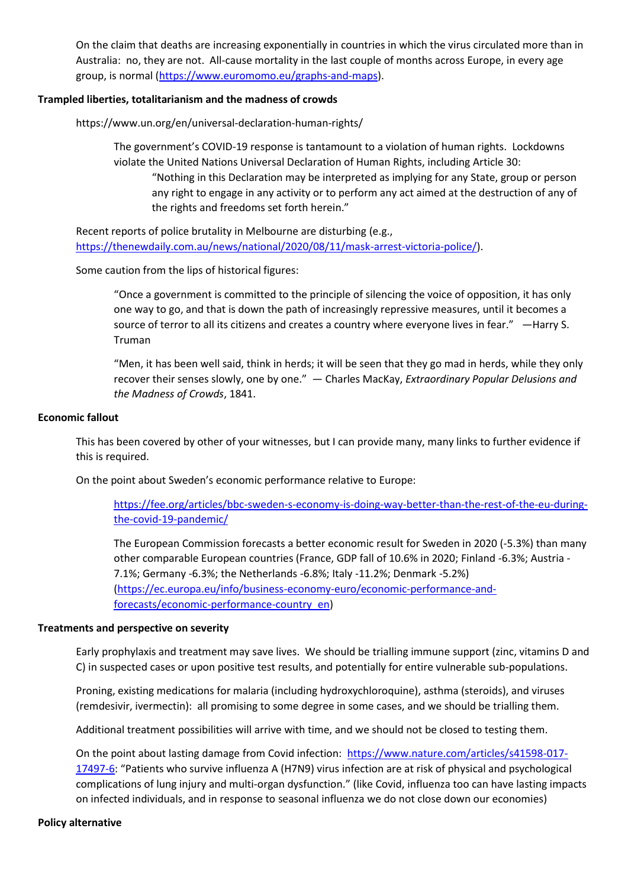On the claim that deaths are increasing exponentially in countries in which the virus circulated more than in Australia: no, they are not. All-cause mortality in the last couple of months across Europe, in every age group, is normal [\(https://www.euromomo.eu/graphs-and-maps\)](https://www.euromomo.eu/graphs-and-maps).

### **Trampled liberties, totalitarianism and the madness of crowds**

https://www.un.org/en/universal-declaration-human-rights/

The government's COVID-19 response is tantamount to a violation of human rights. Lockdowns violate the United Nations Universal Declaration of Human Rights, including Article 30: "Nothing in this Declaration may be interpreted as implying for any State, group or person any right to engage in any activity or to perform any act aimed at the destruction of any of the rights and freedoms set forth herein."

Recent reports of police brutality in Melbourne are disturbing (e.g., [https://thenewdaily.com.au/news/national/2020/08/11/mask-arrest-victoria-police/\)](https://thenewdaily.com.au/news/national/2020/08/11/mask-arrest-victoria-police/).

Some caution from the lips of historical figures:

"Once a government is committed to the principle of silencing the voice of opposition, it has only one way to go, and that is down the path of increasingly repressive measures, until it becomes a source of terror to all its citizens and creates a country where everyone lives in fear." —Harry S. Truman

"Men, it has been well said, think in herds; it will be seen that they go mad in herds, while they only recover their senses slowly, one by one." ― Charles MacKay, *Extraordinary Popular Delusions and the Madness of Crowds*, 1841.

## **Economic fallout**

This has been covered by other of your witnesses, but I can provide many, many links to further evidence if this is required.

On the point about Sweden's economic performance relative to Europe:

[https://fee.org/articles/bbc-sweden-s-economy-is-doing-way-better-than-the-rest-of-the-eu-during](https://fee.org/articles/bbc-sweden-s-economy-is-doing-way-better-than-the-rest-of-the-eu-during-the-covid-19-pandemic/)[the-covid-19-pandemic/](https://fee.org/articles/bbc-sweden-s-economy-is-doing-way-better-than-the-rest-of-the-eu-during-the-covid-19-pandemic/)

The European Commission forecasts a better economic result for Sweden in 2020 (-5.3%) than many other comparable European countries (France, GDP fall of 10.6% in 2020; Finland -6.3%; Austria - 7.1%; Germany -6.3%; the Netherlands -6.8%; Italy -11.2%; Denmark -5.2%) [\(https://ec.europa.eu/info/business-economy-euro/economic-performance-and](https://ec.europa.eu/info/business-economy-euro/economic-performance-and-forecasts/economic-performance-country_en)[forecasts/economic-performance-country\\_en\)](https://ec.europa.eu/info/business-economy-euro/economic-performance-and-forecasts/economic-performance-country_en)

### **Treatments and perspective on severity**

Early prophylaxis and treatment may save lives. We should be trialling immune support (zinc, vitamins D and C) in suspected cases or upon positive test results, and potentially for entire vulnerable sub-populations.

Proning, existing medications for malaria (including hydroxychloroquine), asthma (steroids), and viruses (remdesivir, ivermectin): all promising to some degree in some cases, and we should be trialling them.

Additional treatment possibilities will arrive with time, and we should not be closed to testing them.

On the point about lasting damage from Covid infection: [https://www.nature.com/articles/s41598-017-](https://www.nature.com/articles/s41598-017-17497-6) [17497-6](https://www.nature.com/articles/s41598-017-17497-6): "Patients who survive influenza A (H7N9) virus infection are at risk of physical and psychological complications of lung injury and multi-organ dysfunction." (like Covid, influenza too can have lasting impacts on infected individuals, and in response to seasonal influenza we do not close down our economies)

### **Policy alternative**